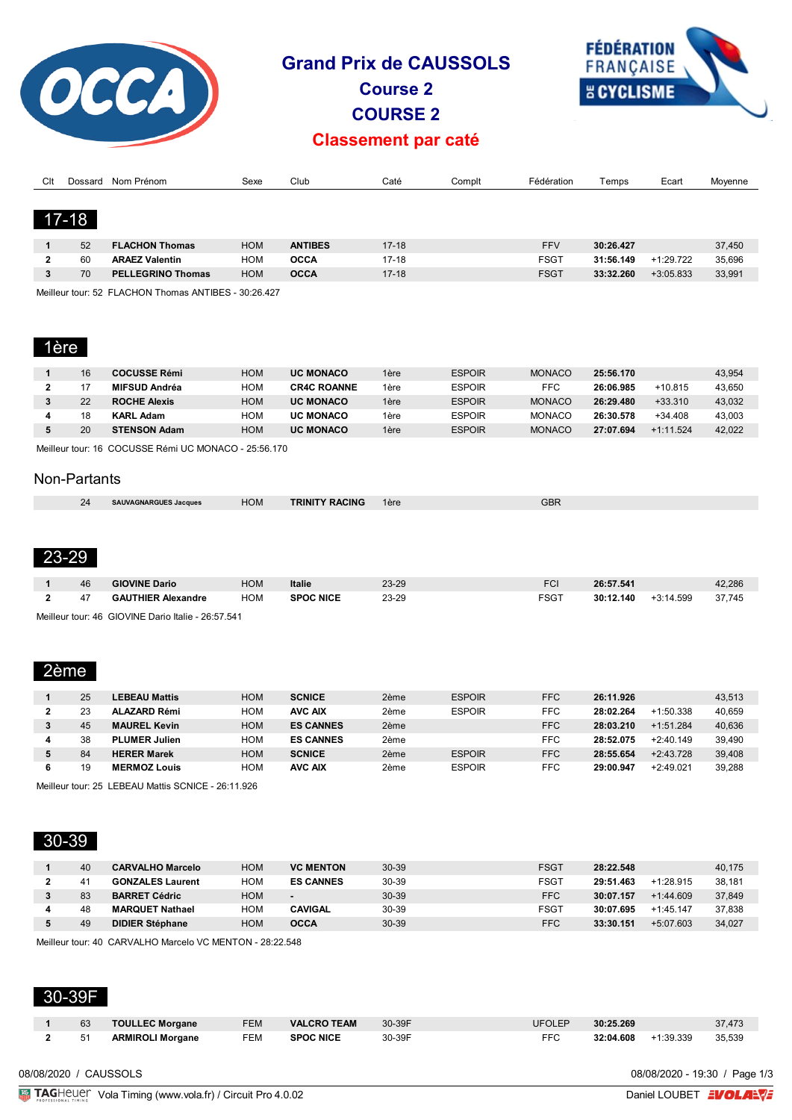

# **Grand Prix de CAUSSOLS**

**Course 2 COURSE 2**



## **Classement par caté**

| Clt      | Dossard   | Nom Prénom                                                                                                                                                                                                                                                                                                                                                                           | Sexe       | Club           | Caté      | Complt | Fédération  | Temps     | Ecart       | Movenne |
|----------|-----------|--------------------------------------------------------------------------------------------------------------------------------------------------------------------------------------------------------------------------------------------------------------------------------------------------------------------------------------------------------------------------------------|------------|----------------|-----------|--------|-------------|-----------|-------------|---------|
|          |           |                                                                                                                                                                                                                                                                                                                                                                                      |            |                |           |        |             |           |             |         |
|          | $17 - 18$ |                                                                                                                                                                                                                                                                                                                                                                                      |            |                |           |        |             |           |             |         |
|          | 52        | <b>FLACHON Thomas</b>                                                                                                                                                                                                                                                                                                                                                                | <b>HOM</b> | <b>ANTIBES</b> | $17-18$   |        | <b>FFV</b>  | 30:26.427 |             | 37,450  |
| 2        | 60        | <b>ARAEZ Valentin</b>                                                                                                                                                                                                                                                                                                                                                                | HOM        | <b>OCCA</b>    | $17 - 18$ |        | <b>FSGT</b> | 31:56.149 | $+1:29.722$ | 35,696  |
| 3        | 70        | <b>PELLEGRINO Thomas</b>                                                                                                                                                                                                                                                                                                                                                             | <b>HOM</b> | <b>OCCA</b>    | $17 - 18$ |        | <b>FSGT</b> | 33:32.260 | $+3:05.833$ | 33,991  |
| $\cdots$ |           | $\overline{z}$ $\overline{z}$ $\overline{z}$ $\overline{z}$ $\overline{z}$ $\overline{z}$ $\overline{z}$ $\overline{z}$ $\overline{z}$ $\overline{z}$ $\overline{z}$ $\overline{z}$ $\overline{z}$ $\overline{z}$ $\overline{z}$ $\overline{z}$ $\overline{z}$ $\overline{z}$ $\overline{z}$ $\overline{z}$ $\overline{z}$ $\overline{z}$ $\overline{z}$ $\overline{z}$ $\overline{$ |            |                |           |        |             |           |             |         |

Meilleur tour: 52 FLACHON Thomas ANTIBES - 30:26.427

# 1ère

| 16 | <b>COCUSSE Rémi</b> | <b>HOM</b> | <b>UC MONACO</b>   | 1ère | <b>ESPOIR</b> | <b>MONACO</b> | 25:56.170 |             | 43.954 |
|----|---------------------|------------|--------------------|------|---------------|---------------|-----------|-------------|--------|
|    | MIFSUD Andréa       | HOM        | <b>CR4C ROANNE</b> | 1ère | <b>ESPOIR</b> | FFC           | 26:06.985 | $+10.815$   | 43.650 |
| 22 | <b>ROCHE Alexis</b> | <b>HOM</b> | <b>UC MONACO</b>   | 1ère | <b>ESPOIR</b> | <b>MONACO</b> | 26:29.480 | $+33.310$   | 43.032 |
| 18 | <b>KARL Adam</b>    | HOM        | <b>UC MONACO</b>   | 1ère | <b>ESPOIR</b> | <b>MONACO</b> | 26:30.578 | $+34.408$   | 43.003 |
| 20 | <b>STENSON Adam</b> | <b>HOM</b> | <b>UC MONACO</b>   | 1ère | <b>ESPOIR</b> | <b>MONACO</b> | 27:07.694 | $+1:11.524$ | 42.022 |
|    |                     |            |                    |      |               |               |           |             |        |

Meilleur tour: 16 COCUSSE Rémi UC MONACO - 25:56.170

#### Non-Partants

| 24<br>$-1$ | -----<br>, Jacques<br>$TAT = N$ | HOM | <b>RACING</b><br><b>TRINITY</b> | 1ère<br>___ | CDF<br><b>UDK</b> |
|------------|---------------------------------|-----|---------------------------------|-------------|-------------------|
|            |                                 |     |                                 |             |                   |

#### 23-29

| 46                                                                                                                                                                                                                                                                                                                                        | <b>GIOVINE Dario</b>      | НОМ | Italie           | 23-29     | FCI         | 26:57.541 |                       | 42,286 |  |
|-------------------------------------------------------------------------------------------------------------------------------------------------------------------------------------------------------------------------------------------------------------------------------------------------------------------------------------------|---------------------------|-----|------------------|-----------|-------------|-----------|-----------------------|--------|--|
| 47                                                                                                                                                                                                                                                                                                                                        | <b>GAUTHIER Alexandre</b> | HOM | <b>SPOC NICE</b> | $23 - 29$ | <b>FSGT</b> |           | $30:12.140 +3:14.599$ | 37.745 |  |
| $\mathbf{M}$ , $\mathbf{H}$ , $\mathbf{H}$ , $\mathbf{H}$ , $\mathbf{M}$ , $\mathbf{M}$ , $\mathbf{H}$ , $\mathbf{H}$ , $\mathbf{H}$ , $\mathbf{H}$ , $\mathbf{H}$ , $\mathbf{M}$ , $\mathbf{H}$ , $\mathbf{H}$ , $\mathbf{H}$ , $\mathbf{H}$ , $\mathbf{H}$ , $\mathbf{H}$ , $\mathbf{H}$ , $\mathbf{H}$ , $\mathbf{H}$ , $\mathbf{H}$ , |                           |     |                  |           |             |           |                       |        |  |

Meilleur tour: 46 GIOVINE Dario Italie - 26:57.541

## 2ème

|   | 25 | <b>LEBEAU Mattis</b> | <b>HOM</b> | <b>SCNICE</b>    | 2ème | <b>ESPOIR</b> | <b>FFC</b> | 26:11.926 |             | 43.513 |
|---|----|----------------------|------------|------------------|------|---------------|------------|-----------|-------------|--------|
|   | 23 | <b>ALAZARD Rémi</b>  | HOM        | <b>AVC AIX</b>   | 2ème | <b>ESPOIR</b> | <b>FFC</b> | 28:02.264 | $+1:50.338$ | 40.659 |
|   | 45 | <b>MAUREL Kevin</b>  | <b>HOM</b> | <b>ES CANNES</b> | 2ème |               | <b>FFC</b> | 28:03.210 | $+1:51.284$ | 40,636 |
|   | 38 | <b>PLUMER Julien</b> | HOM        | <b>ES CANNES</b> | 2ème |               | FFC        | 28:52.075 | $+2:40.149$ | 39.490 |
|   | 84 | <b>HERER Marek</b>   | <b>HOM</b> | <b>SCNICE</b>    | 2ème | <b>ESPOIR</b> | <b>FFC</b> | 28:55.654 | $+2:43.728$ | 39,408 |
| 6 | 19 | <b>MERMOZ Louis</b>  | ном        | <b>AVC AIX</b>   | 2ème | <b>ESPOIR</b> | FFC        | 29:00.947 | $+2:49.021$ | 39.288 |

Meilleur tour: 25 LEBEAU Mattis SCNICE - 26:11.926

## 30-39

| 40 | <b>CARVALHO Marcelo</b> | НОМ | <b>VC MENTON</b> | $30 - 39$ | <b>FSGT</b> | 28:22.548 |             | 40.175 |
|----|-------------------------|-----|------------------|-----------|-------------|-----------|-------------|--------|
| 41 | <b>GONZALES Laurent</b> | ном | <b>ES CANNES</b> | 30-39     | <b>FSGT</b> | 29:51.463 | $+1:28.915$ | 38.181 |
| 83 | <b>BARRET Cédric</b>    | HOM | ٠                | $30 - 39$ | <b>FFC</b>  | 30:07.157 | $+1:44.609$ | 37,849 |
| 48 | <b>MARQUET Nathael</b>  | ном | <b>CAVIGAL</b>   | 30-39     | <b>FSGT</b> | 30:07.695 | $+1:45.147$ | 37.838 |
| 49 | <b>DIDIER Stéphane</b>  | НОМ | <b>OCCA</b>      | $30 - 39$ | <b>FFC</b>  | 33:30.151 | $+5:07.603$ | 34,027 |
|    |                         |     |                  |           |             |           |             |        |

Meilleur tour: 40 CARVALHO Marcelo VC MENTON - 28:22.548

#### 30-39F

| 63 | <b>TOULLEC Morgane</b>  | <b>FEM</b> | <b>VALCRO TEAM</b> | 30-39F | <b>UFOLEP</b> | 30:25.269 |           | 37,473 |
|----|-------------------------|------------|--------------------|--------|---------------|-----------|-----------|--------|
|    | <b>ARMIROLI Morgane</b> | FEM        | <b>SPOC NICE</b>   | 30-39F | FFC           | 32:04.608 | +1:39.339 | 35,539 |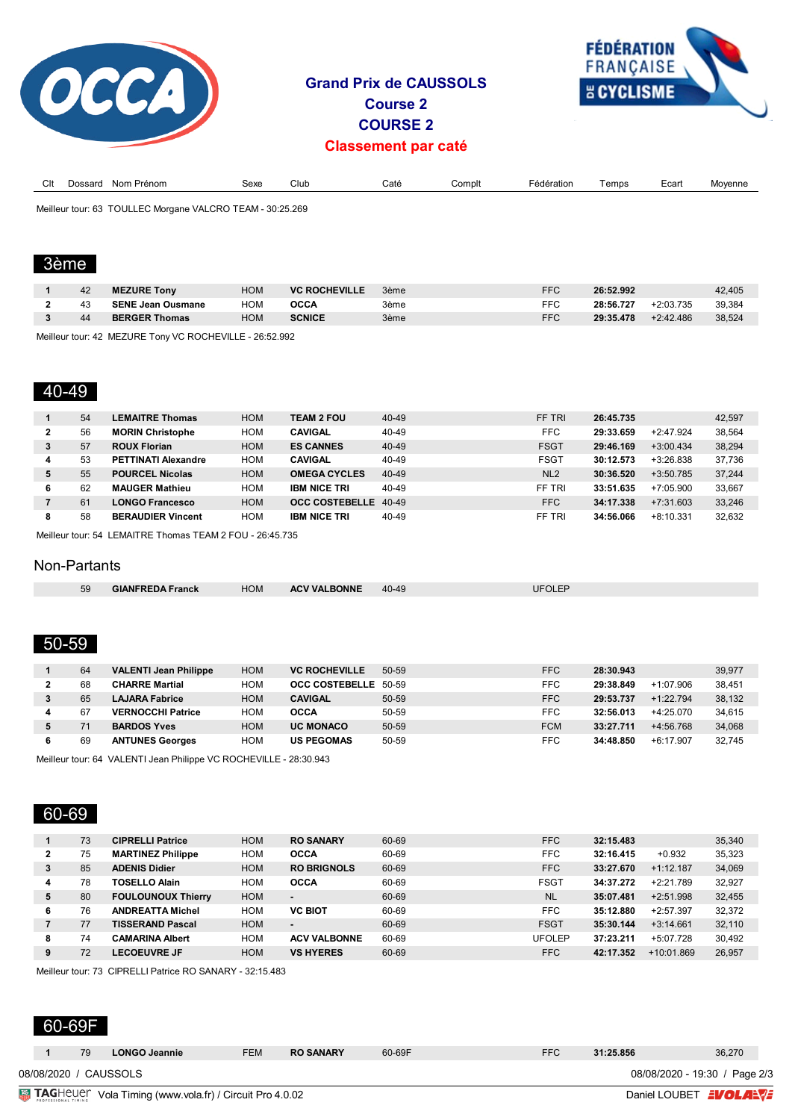

# **Grand Prix de CAUSSOLS Course 2 COURSE 2 Classement par caté**



| $\sim$<br>ᄓ |                   | Nom<br>⊦ Prénom                             | Sexe   | Club       | Caté | Complt | Fédération | emps | ∟cart | ovenne |
|-------------|-------------------|---------------------------------------------|--------|------------|------|--------|------------|------|-------|--------|
|             | Meilleur tour: 63 | <b>TOULLEC Mo</b><br>≀ VAI CRO<br>: Morgane | FFAM - | .30.25.269 |      |        |            |      |       |        |

Meilleur tour: 63 TOULLEC Morgane VALCRO TEAM - 30:25.269

# 3ème

| 42 | <b>MEZURE Tony</b>       | <b>HOM</b> | <b>VC ROCHEVILLE</b> | 3ème | <b>FFC</b> | 26:52.992 |             | 42.405 |
|----|--------------------------|------------|----------------------|------|------------|-----------|-------------|--------|
| 43 | <b>SENE Jean Ousmane</b> | <b>HOM</b> | OCCA                 | 3ème | <b>FFC</b> | 28:56.727 | $+2:03.735$ | 39.384 |
| 44 | <b>BERGER Thomas</b>     | HOM        | <b>SCNICE</b>        | 3ème | <b>FFC</b> | 29:35.478 | $+2:42.486$ | 38,524 |
|    |                          |            |                      |      |            |           |             |        |

Meilleur tour: 42 MEZURE Tony VC ROCHEVILLE - 26:52.992

### 40-49

|              | 54 | <b>LEMAITRE Thomas</b>     | <b>HOM</b> | <b>TEAM 2 FOU</b>    | 40-49 | FF TRI          | 26:45.735 |             | 42,597 |
|--------------|----|----------------------------|------------|----------------------|-------|-----------------|-----------|-------------|--------|
| $\mathbf{2}$ | 56 | <b>MORIN Christophe</b>    | HOM        | <b>CAVIGAL</b>       | 40-49 | <b>FFC</b>      | 29:33.659 | $+2:47.924$ | 38.564 |
| 3            | 57 | <b>ROUX Florian</b>        | <b>HOM</b> | <b>ES CANNES</b>     | 40-49 | <b>FSGT</b>     | 29:46.169 | $+3:00.434$ | 38.294 |
| 4            | 53 | <b>PETTINATI Alexandre</b> | HOM        | <b>CAVIGAL</b>       | 40-49 | <b>FSGT</b>     | 30:12.573 | $+3:26.838$ | 37.736 |
| 5            | 55 | <b>POURCEL Nicolas</b>     | <b>HOM</b> | <b>OMEGA CYCLES</b>  | 40-49 | NL <sub>2</sub> | 30:36.520 | $+3:50.785$ | 37,244 |
| 6            | 62 | <b>MAUGER Mathieu</b>      | HOM        | <b>IBM NICE TRI</b>  | 40-49 | FF TRI          | 33:51.635 | $+7:05.900$ | 33.667 |
|              | 61 | <b>LONGO Francesco</b>     | <b>HOM</b> | OCC COSTEBELLE 40-49 |       | <b>FFC</b>      | 34:17.338 | $+7:31.603$ | 33,246 |
| 8            | 58 | <b>BERAUDIER Vincent</b>   | HOM        | <b>IBM NICE TRI</b>  | 40-49 | FF TRI          | 34:56.066 | $+8:10.331$ | 32.632 |

Meilleur tour: 54 LEMAITRE Thomas TEAM 2 FOU - 26:45.735

#### Non-Partants

|  | 59 | CIANERL<br>ranck<br>- 11<br>the contract of the contract of the contract of the contract of the contract of the contract of the contract of | HOM | <b>INNF</b><br>$\mathbf{v}$<br>$\mathbf{M}$<br>and the contract of the contract of the contract of the contract of the contract of the contract of the contract of | 10<br>$\Lambda$ $\Omega$<br>4U-4 | OLE<br>IJF |  |
|--|----|---------------------------------------------------------------------------------------------------------------------------------------------|-----|--------------------------------------------------------------------------------------------------------------------------------------------------------------------|----------------------------------|------------|--|
|--|----|---------------------------------------------------------------------------------------------------------------------------------------------|-----|--------------------------------------------------------------------------------------------------------------------------------------------------------------------|----------------------------------|------------|--|

## 50-59

|   | 64 | <b>VALENTI Jean Philippe</b> | <b>HOM</b> | <b>VC ROCHEVILLE</b> | 50-59 | <b>FFC</b> | 28:30.943 |             | 39,977 |
|---|----|------------------------------|------------|----------------------|-------|------------|-----------|-------------|--------|
|   | 68 | <b>CHARRE Martial</b>        | HOM        | OCC COSTEBELLE 50-59 |       | FFC        | 29:38.849 | $+1:07.906$ | 38.451 |
|   | 65 | <b>LAJARA Fabrice</b>        | <b>HOM</b> | <b>CAVIGAL</b>       | 50-59 | <b>FFC</b> | 29:53.737 | $+1:22.794$ | 38,132 |
|   | 67 | <b>VERNOCCHI Patrice</b>     | HOM        | <b>OCCA</b>          | 50-59 | FFC        | 32:56.013 | +4:25.070   | 34.615 |
|   |    | <b>BARDOS Yves</b>           | <b>HOM</b> | <b>UC MONACO</b>     | 50-59 | <b>FCM</b> | 33:27.711 | $+4:56.768$ | 34,068 |
| 6 | 69 | <b>ANTUNES Georges</b>       | HOM        | <b>US PEGOMAS</b>    | 50-59 | FFC        | 34:48.850 | $+6:17.907$ | 32.745 |

Meilleur tour: 64 VALENTI Jean Philippe VC ROCHEVILLE - 28:30.943

## 60-69

|   | 73 | <b>CIPRELLI Patrice</b>   | <b>HOM</b> | <b>RO SANARY</b>    | 60-69 | <b>FFC</b>    | 32:15.483 |              | 35,340 |
|---|----|---------------------------|------------|---------------------|-------|---------------|-----------|--------------|--------|
| 2 | 75 | <b>MARTINEZ Philippe</b>  | <b>HOM</b> | <b>OCCA</b>         | 60-69 | <b>FFC</b>    | 32:16.415 | $+0.932$     | 35,323 |
| 3 | 85 | <b>ADENIS Didier</b>      | <b>HOM</b> | <b>RO BRIGNOLS</b>  | 60-69 | <b>FFC</b>    | 33:27.670 | $+1:12.187$  | 34,069 |
| 4 | 78 | <b>TOSELLO Alain</b>      | <b>HOM</b> | <b>OCCA</b>         | 60-69 | <b>FSGT</b>   | 34:37.272 | $+2:21.789$  | 32,927 |
| 5 | 80 | <b>FOULOUNOUX Thierry</b> | <b>HOM</b> | $\blacksquare$      | 60-69 | <b>NL</b>     | 35:07.481 | $+2:51.998$  | 32,455 |
| 6 | 76 | <b>ANDREATTA Michel</b>   | <b>HOM</b> | <b>VC BIOT</b>      | 60-69 | <b>FFC</b>    | 35:12.880 | $+2:57.397$  | 32,372 |
|   | 77 | <b>TISSERAND Pascal</b>   | <b>HOM</b> | $\blacksquare$      | 60-69 | <b>FSGT</b>   | 35:30.144 | $+3:14.661$  | 32,110 |
| 8 | 74 | <b>CAMARINA Albert</b>    | <b>HOM</b> | <b>ACV VALBONNE</b> | 60-69 | <b>UFOLEP</b> | 37:23.211 | $+5:07.728$  | 30,492 |
| 9 | 72 | <b>LECOEUVRE JF</b>       | <b>HOM</b> | <b>VS HYERES</b>    | 60-69 | <b>FFC</b>    | 42:17.352 | $+10:01.869$ | 26,957 |
|   |    |                           |            |                     |       |               |           |              |        |

Meilleur tour: 73 CIPRELLI Patrice RO SANARY - 32:15.483

## 60-69F

| 08/08/2020 / CAUSSOLS<br>08/08/2020 - 19:30 / Page 2/3 |
|--------------------------------------------------------|
|--------------------------------------------------------|